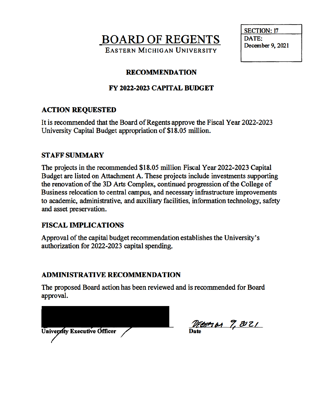**BOARD OF REGENTS EASTERN MICHIGAN UNIVERSITY** 



### **RECOMMENDATION**

# FY 2022-2023 CAPITAL BUDGET

# **ACTION REQUESTED**

It is recommended that the Board of Regents approve the Fiscal Year 2022-2023 University Capital Budget appropriation of \$18.05 million.

#### **STAFF SUMMARY**

The projects in the recommended \$18.05 million Fiscal Year 2022-2023 Capital Budget are listed on Attachment A. These projects include investments supporting the renovation of the 3D Arts Complex, continued progression of the College of Business relocation to central campus, and necessary infrastructure improvements to academic, administrative, and auxiliary facilities, information technology, safety and asset preservation.

#### **FISCAL IMPLICATIONS**

Approval of the capital budget recommendation establishes the University's authorization for 2022-2023 capital spending.

#### **ADMINISTRATIVE RECOMMENDATION**

The proposed Board action has been reviewed and is recommended for Board approval.

| <b>University Executive Officer</b> |  |
|-------------------------------------|--|
|                                     |  |

DECEMBA 7, 2021